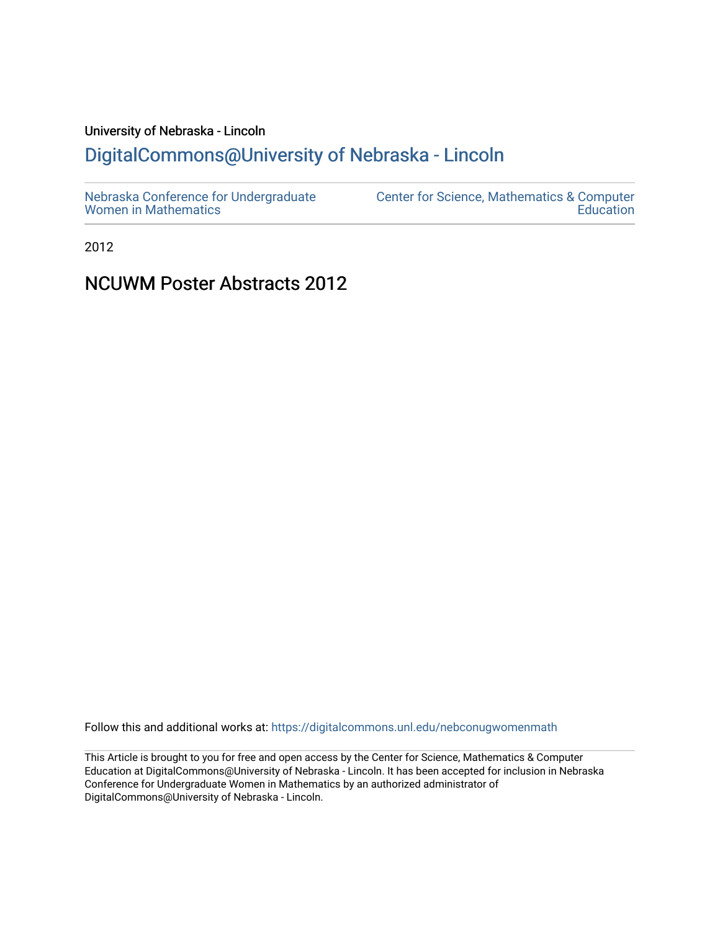## University of Nebraska - Lincoln

## [DigitalCommons@University of Nebraska - Lincoln](https://digitalcommons.unl.edu/)

| Nebraska Conference for Undergraduate | Center for Science, Mathematics & Computer |
|---------------------------------------|--------------------------------------------|
| <b>Women in Mathematics</b>           | Education                                  |

2012

### NCUWM Poster Abstracts 2012

Follow this and additional works at: [https://digitalcommons.unl.edu/nebconugwomenmath](https://digitalcommons.unl.edu/nebconugwomenmath?utm_source=digitalcommons.unl.edu%2Fnebconugwomenmath%2F14&utm_medium=PDF&utm_campaign=PDFCoverPages)

This Article is brought to you for free and open access by the Center for Science, Mathematics & Computer Education at DigitalCommons@University of Nebraska - Lincoln. It has been accepted for inclusion in Nebraska Conference for Undergraduate Women in Mathematics by an authorized administrator of DigitalCommons@University of Nebraska - Lincoln.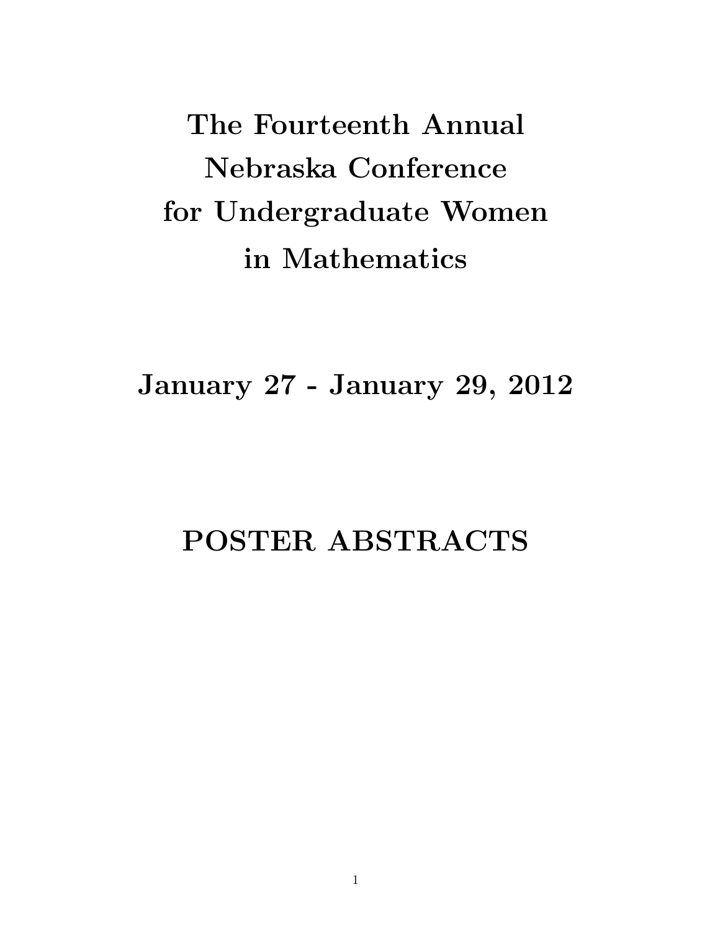The Fourteenth Annual Nebraska Conference for Undergraduate Women in Mathematics

January 27 - January 29, 2012

# POSTER ABSTRACTS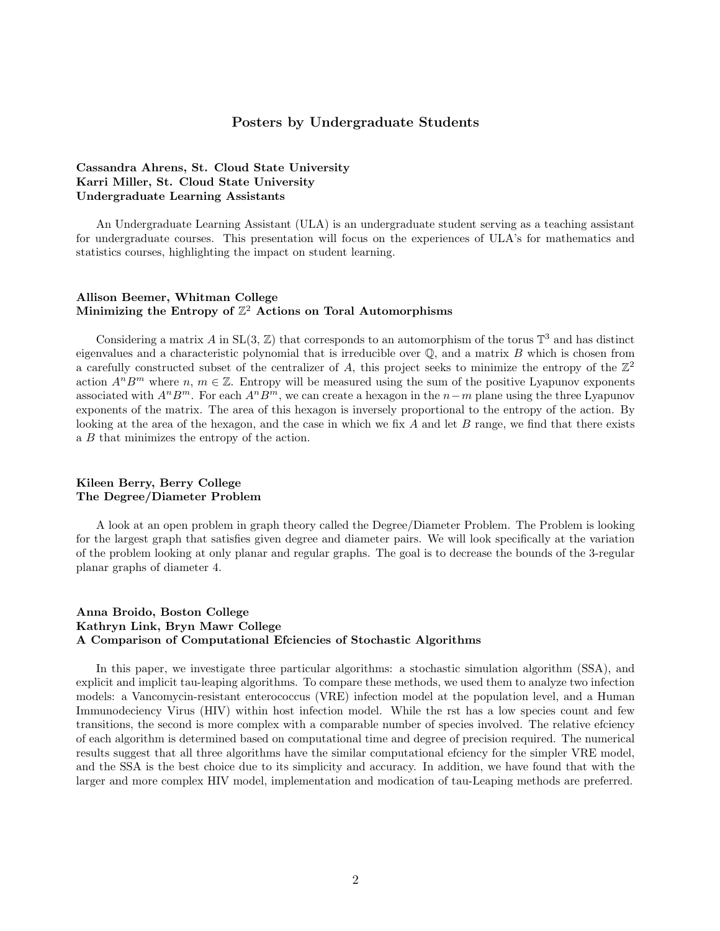#### Posters by Undergraduate Students

#### Cassandra Ahrens, St. Cloud State University Karri Miller, St. Cloud State University Undergraduate Learning Assistants

An Undergraduate Learning Assistant (ULA) is an undergraduate student serving as a teaching assistant for undergraduate courses. This presentation will focus on the experiences of ULA's for mathematics and statistics courses, highlighting the impact on student learning.

#### Allison Beemer, Whitman College Minimizing the Entropy of  $\mathbb{Z}^2$  Actions on Toral Automorphisms

Considering a matrix A in  $SL(3, \mathbb{Z})$  that corresponds to an automorphism of the torus  $\mathbb{T}^3$  and has distinct eigenvalues and a characteristic polynomial that is irreducible over  $\mathbb{Q}$ , and a matrix B which is chosen from a carefully constructed subset of the centralizer of A, this project seeks to minimize the entropy of the  $\mathbb{Z}^2$ action  $A^nB^m$  where  $n, m \in \mathbb{Z}$ . Entropy will be measured using the sum of the positive Lyapunov exponents associated with  $A^n B^m$ . For each  $A^n B^m$ , we can create a hexagon in the  $n-m$  plane using the three Lyapunov exponents of the matrix. The area of this hexagon is inversely proportional to the entropy of the action. By looking at the area of the hexagon, and the case in which we fix  $A$  and let  $B$  range, we find that there exists a B that minimizes the entropy of the action.

#### Kileen Berry, Berry College The Degree/Diameter Problem

A look at an open problem in graph theory called the Degree/Diameter Problem. The Problem is looking for the largest graph that satisfies given degree and diameter pairs. We will look specifically at the variation of the problem looking at only planar and regular graphs. The goal is to decrease the bounds of the 3-regular planar graphs of diameter 4.

#### Anna Broido, Boston College Kathryn Link, Bryn Mawr College A Comparison of Computational Efciencies of Stochastic Algorithms

In this paper, we investigate three particular algorithms: a stochastic simulation algorithm (SSA), and explicit and implicit tau-leaping algorithms. To compare these methods, we used them to analyze two infection models: a Vancomycin-resistant enterococcus (VRE) infection model at the population level, and a Human Immunodeciency Virus (HIV) within host infection model. While the rst has a low species count and few transitions, the second is more complex with a comparable number of species involved. The relative efciency of each algorithm is determined based on computational time and degree of precision required. The numerical results suggest that all three algorithms have the similar computational efciency for the simpler VRE model, and the SSA is the best choice due to its simplicity and accuracy. In addition, we have found that with the larger and more complex HIV model, implementation and modication of tau-Leaping methods are preferred.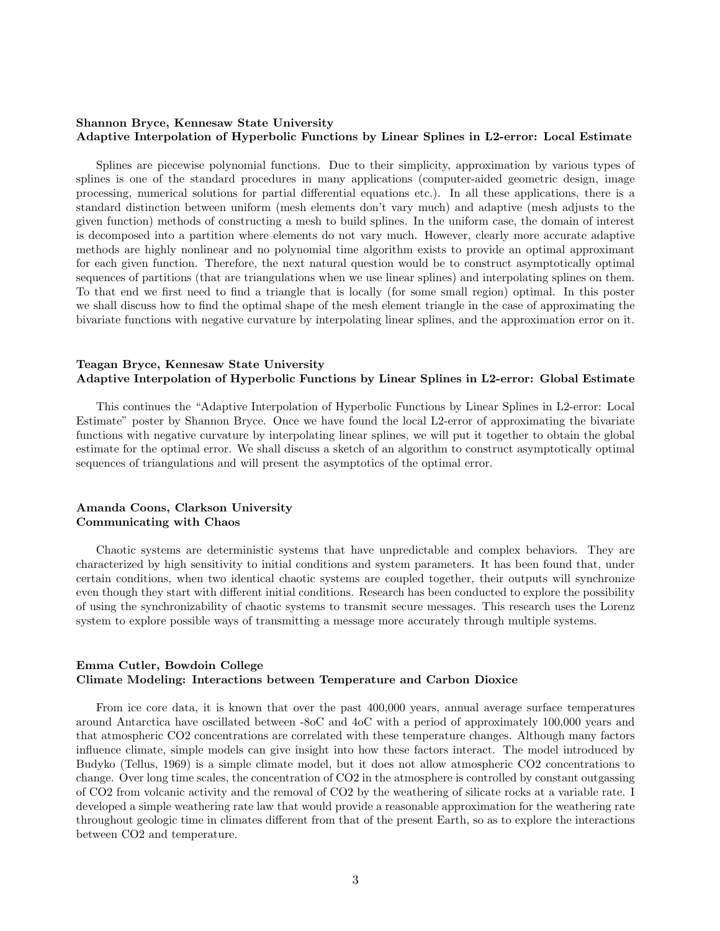#### Shannon Bryce, Kennesaw State University Adaptive Interpolation of Hyperbolic Functions by Linear Splines in L2-error: Local Estimate

Splines are piecewise polynomial functions. Due to their simplicity, approximation by various types of splines is one of the standard procedures in many applications (computer-aided geometric design, image processing, numerical solutions for partial differential equations etc.). In all these applications, there is a standard distinction between uniform (mesh elements don't vary much) and adaptive (mesh adjusts to the given function) methods of constructing a mesh to build splines. In the uniform case, the domain of interest is decomposed into a partition where elements do not vary much. However, clearly more accurate adaptive methods are highly nonlinear and no polynomial time algorithm exists to provide an optimal approximant for each given function. Therefore, the next natural question would be to construct asymptotically optimal sequences of partitions (that are triangulations when we use linear splines) and interpolating splines on them. To that end we first need to find a triangle that is locally (for some small region) optimal. In this poster we shall discuss how to find the optimal shape of the mesh element triangle in the case of approximating the bivariate functions with negative curvature by interpolating linear splines, and the approximation error on it.

#### Teagan Bryce, Kennesaw State University Adaptive Interpolation of Hyperbolic Functions by Linear Splines in L2-error: Global Estimate

This continues the "Adaptive Interpolation of Hyperbolic Functions by Linear Splines in L2-error: Local Estimate" poster by Shannon Bryce. Once we have found the local L2-error of approximating the bivariate functions with negative curvature by interpolating linear splines, we will put it together to obtain the global estimate for the optimal error. We shall discuss a sketch of an algorithm to construct asymptotically optimal sequences of triangulations and will present the asymptotics of the optimal error.

#### Amanda Coons, Clarkson University Communicating with Chaos

Chaotic systems are deterministic systems that have unpredictable and complex behaviors. They are characterized by high sensitivity to initial conditions and system parameters. It has been found that, under certain conditions, when two identical chaotic systems are coupled together, their outputs will synchronize even though they start with different initial conditions. Research has been conducted to explore the possibility of using the synchronizability of chaotic systems to transmit secure messages. This research uses the Lorenz system to explore possible ways of transmitting a message more accurately through multiple systems.

#### Emma Cutler, Bowdoin College Climate Modeling: Interactions between Temperature and Carbon Dioxice

From ice core data, it is known that over the past 400,000 years, annual average surface temperatures around Antarctica have oscillated between -8oC and 4oC with a period of approximately 100,000 years and that atmospheric CO2 concentrations are correlated with these temperature changes. Although many factors influence climate, simple models can give insight into how these factors interact. The model introduced by Budyko (Tellus, 1969) is a simple climate model, but it does not allow atmospheric CO2 concentrations to change. Over long time scales, the concentration of CO2 in the atmosphere is controlled by constant outgassing of CO2 from volcanic activity and the removal of CO2 by the weathering of silicate rocks at a variable rate. I developed a simple weathering rate law that would provide a reasonable approximation for the weathering rate throughout geologic time in climates different from that of the present Earth, so as to explore the interactions between CO2 and temperature.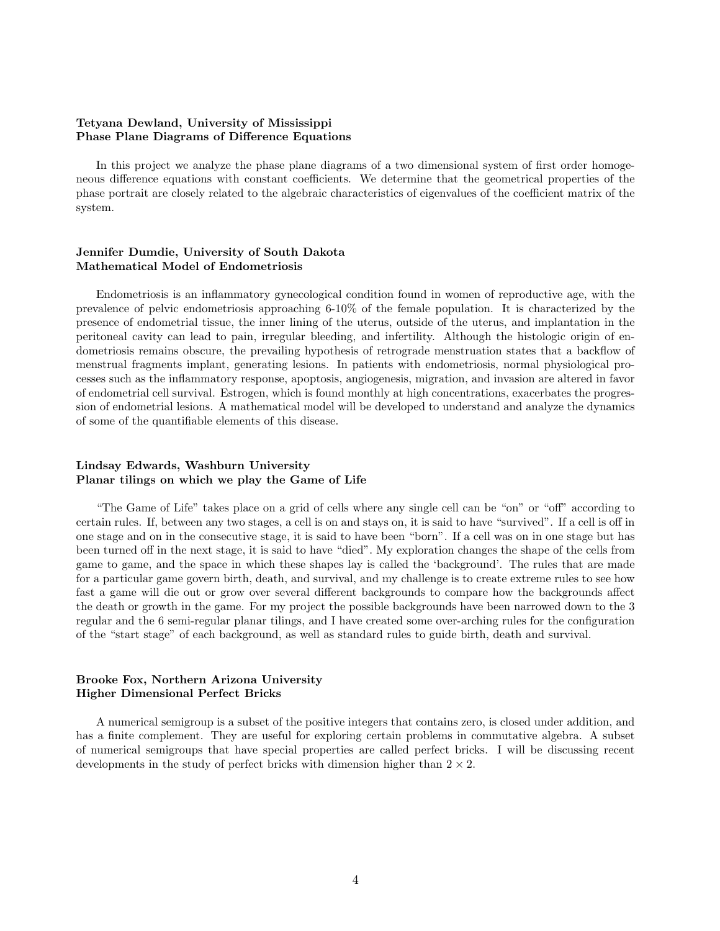#### Tetyana Dewland, University of Mississippi Phase Plane Diagrams of Difference Equations

In this project we analyze the phase plane diagrams of a two dimensional system of first order homogeneous difference equations with constant coefficients. We determine that the geometrical properties of the phase portrait are closely related to the algebraic characteristics of eigenvalues of the coefficient matrix of the system.

#### Jennifer Dumdie, University of South Dakota Mathematical Model of Endometriosis

Endometriosis is an inflammatory gynecological condition found in women of reproductive age, with the prevalence of pelvic endometriosis approaching 6-10% of the female population. It is characterized by the presence of endometrial tissue, the inner lining of the uterus, outside of the uterus, and implantation in the peritoneal cavity can lead to pain, irregular bleeding, and infertility. Although the histologic origin of endometriosis remains obscure, the prevailing hypothesis of retrograde menstruation states that a backflow of menstrual fragments implant, generating lesions. In patients with endometriosis, normal physiological processes such as the inflammatory response, apoptosis, angiogenesis, migration, and invasion are altered in favor of endometrial cell survival. Estrogen, which is found monthly at high concentrations, exacerbates the progression of endometrial lesions. A mathematical model will be developed to understand and analyze the dynamics of some of the quantifiable elements of this disease.

#### Lindsay Edwards, Washburn University Planar tilings on which we play the Game of Life

"The Game of Life" takes place on a grid of cells where any single cell can be "on" or "off" according to certain rules. If, between any two stages, a cell is on and stays on, it is said to have "survived". If a cell is off in one stage and on in the consecutive stage, it is said to have been "born". If a cell was on in one stage but has been turned off in the next stage, it is said to have "died". My exploration changes the shape of the cells from game to game, and the space in which these shapes lay is called the 'background'. The rules that are made for a particular game govern birth, death, and survival, and my challenge is to create extreme rules to see how fast a game will die out or grow over several different backgrounds to compare how the backgrounds affect the death or growth in the game. For my project the possible backgrounds have been narrowed down to the 3 regular and the 6 semi-regular planar tilings, and I have created some over-arching rules for the configuration of the "start stage" of each background, as well as standard rules to guide birth, death and survival.

#### Brooke Fox, Northern Arizona University Higher Dimensional Perfect Bricks

A numerical semigroup is a subset of the positive integers that contains zero, is closed under addition, and has a finite complement. They are useful for exploring certain problems in commutative algebra. A subset of numerical semigroups that have special properties are called perfect bricks. I will be discussing recent developments in the study of perfect bricks with dimension higher than  $2 \times 2$ .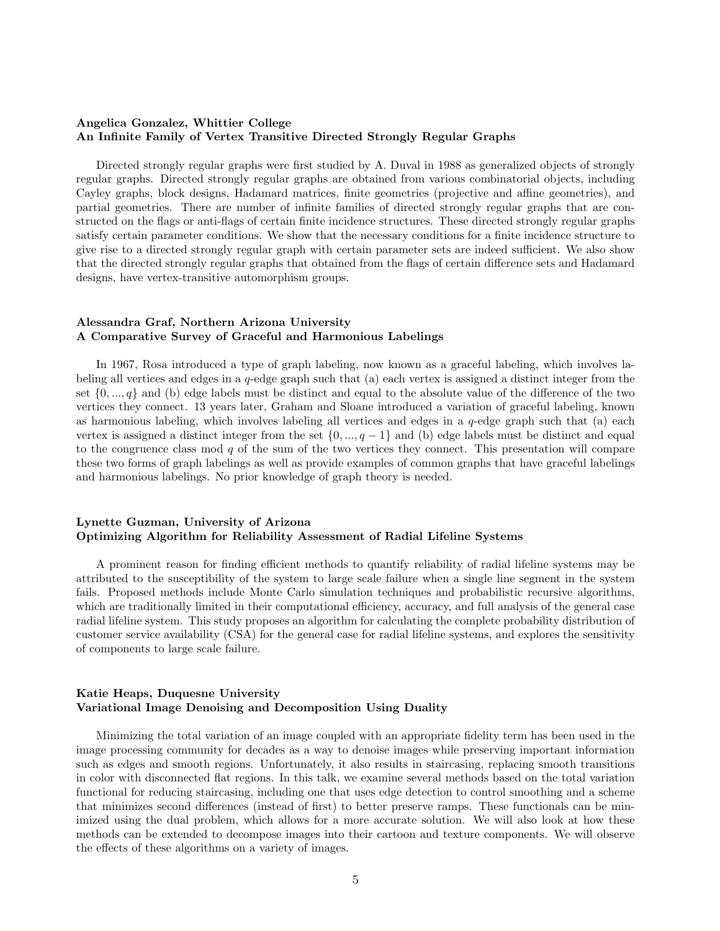#### Angelica Gonzalez, Whittier College An Infinite Family of Vertex Transitive Directed Strongly Regular Graphs

Directed strongly regular graphs were first studied by A. Duval in 1988 as generalized objects of strongly regular graphs. Directed strongly regular graphs are obtained from various combinatorial objects, including Cayley graphs, block designs, Hadamard matrices, finite geometries (projective and affine geometries), and partial geometries. There are number of infinite families of directed strongly regular graphs that are constructed on the flags or anti-flags of certain finite incidence structures. These directed strongly regular graphs satisfy certain parameter conditions. We show that the necessary conditions for a finite incidence structure to give rise to a directed strongly regular graph with certain parameter sets are indeed sufficient. We also show that the directed strongly regular graphs that obtained from the flags of certain difference sets and Hadamard designs, have vertex-transitive automorphism groups.

#### Alessandra Graf, Northern Arizona University A Comparative Survey of Graceful and Harmonious Labelings

In 1967, Rosa introduced a type of graph labeling, now known as a graceful labeling, which involves labeling all vertices and edges in a  $q$ -edge graph such that (a) each vertex is assigned a distinct integer from the set  $\{0, ..., q\}$  and (b) edge labels must be distinct and equal to the absolute value of the difference of the two vertices they connect. 13 years later, Graham and Sloane introduced a variation of graceful labeling, known as harmonious labeling, which involves labeling all vertices and edges in a  $q$ -edge graph such that (a) each vertex is assigned a distinct integer from the set  $\{0, ..., q-1\}$  and (b) edge labels must be distinct and equal to the congruence class mod q of the sum of the two vertices they connect. This presentation will compare these two forms of graph labelings as well as provide examples of common graphs that have graceful labelings and harmonious labelings. No prior knowledge of graph theory is needed.

#### Lynette Guzman, University of Arizona Optimizing Algorithm for Reliability Assessment of Radial Lifeline Systems

A prominent reason for finding efficient methods to quantify reliability of radial lifeline systems may be attributed to the susceptibility of the system to large scale failure when a single line segment in the system fails. Proposed methods include Monte Carlo simulation techniques and probabilistic recursive algorithms, which are traditionally limited in their computational efficiency, accuracy, and full analysis of the general case radial lifeline system. This study proposes an algorithm for calculating the complete probability distribution of customer service availability (CSA) for the general case for radial lifeline systems, and explores the sensitivity of components to large scale failure.

#### Katie Heaps, Duquesne University Variational Image Denoising and Decomposition Using Duality

Minimizing the total variation of an image coupled with an appropriate fidelity term has been used in the image processing community for decades as a way to denoise images while preserving important information such as edges and smooth regions. Unfortunately, it also results in staircasing, replacing smooth transitions in color with disconnected flat regions. In this talk, we examine several methods based on the total variation functional for reducing staircasing, including one that uses edge detection to control smoothing and a scheme that minimizes second differences (instead of first) to better preserve ramps. These functionals can be minimized using the dual problem, which allows for a more accurate solution. We will also look at how these methods can be extended to decompose images into their cartoon and texture components. We will observe the effects of these algorithms on a variety of images.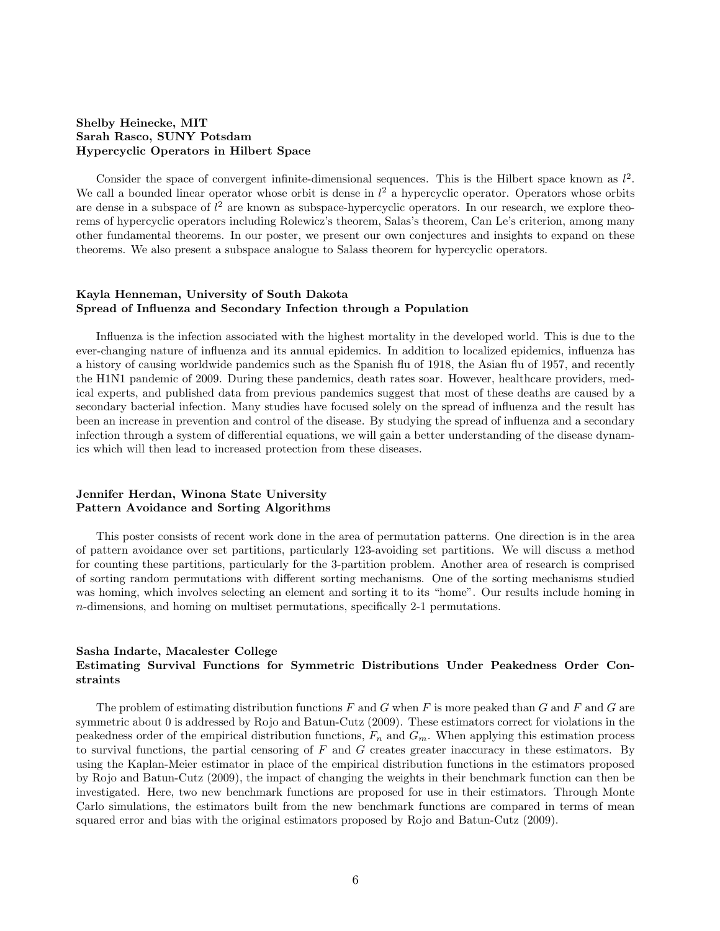#### Shelby Heinecke, MIT Sarah Rasco, SUNY Potsdam Hypercyclic Operators in Hilbert Space

Consider the space of convergent infinite-dimensional sequences. This is the Hilbert space known as  $l^2$ . We call a bounded linear operator whose orbit is dense in  $l^2$  a hypercyclic operator. Operators whose orbits are dense in a subspace of  $l^2$  are known as subspace-hypercyclic operators. In our research, we explore theorems of hypercyclic operators including Rolewicz's theorem, Salas's theorem, Can Le's criterion, among many other fundamental theorems. In our poster, we present our own conjectures and insights to expand on these theorems. We also present a subspace analogue to Salass theorem for hypercyclic operators.

#### Kayla Henneman, University of South Dakota Spread of Influenza and Secondary Infection through a Population

Influenza is the infection associated with the highest mortality in the developed world. This is due to the ever-changing nature of influenza and its annual epidemics. In addition to localized epidemics, influenza has a history of causing worldwide pandemics such as the Spanish flu of 1918, the Asian flu of 1957, and recently the H1N1 pandemic of 2009. During these pandemics, death rates soar. However, healthcare providers, medical experts, and published data from previous pandemics suggest that most of these deaths are caused by a secondary bacterial infection. Many studies have focused solely on the spread of influenza and the result has been an increase in prevention and control of the disease. By studying the spread of influenza and a secondary infection through a system of differential equations, we will gain a better understanding of the disease dynamics which will then lead to increased protection from these diseases.

#### Jennifer Herdan, Winona State University Pattern Avoidance and Sorting Algorithms

This poster consists of recent work done in the area of permutation patterns. One direction is in the area of pattern avoidance over set partitions, particularly 123-avoiding set partitions. We will discuss a method for counting these partitions, particularly for the 3-partition problem. Another area of research is comprised of sorting random permutations with different sorting mechanisms. One of the sorting mechanisms studied was homing, which involves selecting an element and sorting it to its "home". Our results include homing in n-dimensions, and homing on multiset permutations, specifically 2-1 permutations.

#### Sasha Indarte, Macalester College Estimating Survival Functions for Symmetric Distributions Under Peakedness Order Constraints

The problem of estimating distribution functions  $F$  and  $G$  when  $F$  is more peaked than  $G$  and  $F$  and  $G$  are symmetric about 0 is addressed by Rojo and Batun-Cutz (2009). These estimators correct for violations in the peakedness order of the empirical distribution functions,  $F_n$  and  $G_m$ . When applying this estimation process to survival functions, the partial censoring of  $F$  and  $G$  creates greater inaccuracy in these estimators. By using the Kaplan-Meier estimator in place of the empirical distribution functions in the estimators proposed by Rojo and Batun-Cutz (2009), the impact of changing the weights in their benchmark function can then be investigated. Here, two new benchmark functions are proposed for use in their estimators. Through Monte Carlo simulations, the estimators built from the new benchmark functions are compared in terms of mean squared error and bias with the original estimators proposed by Rojo and Batun-Cutz (2009).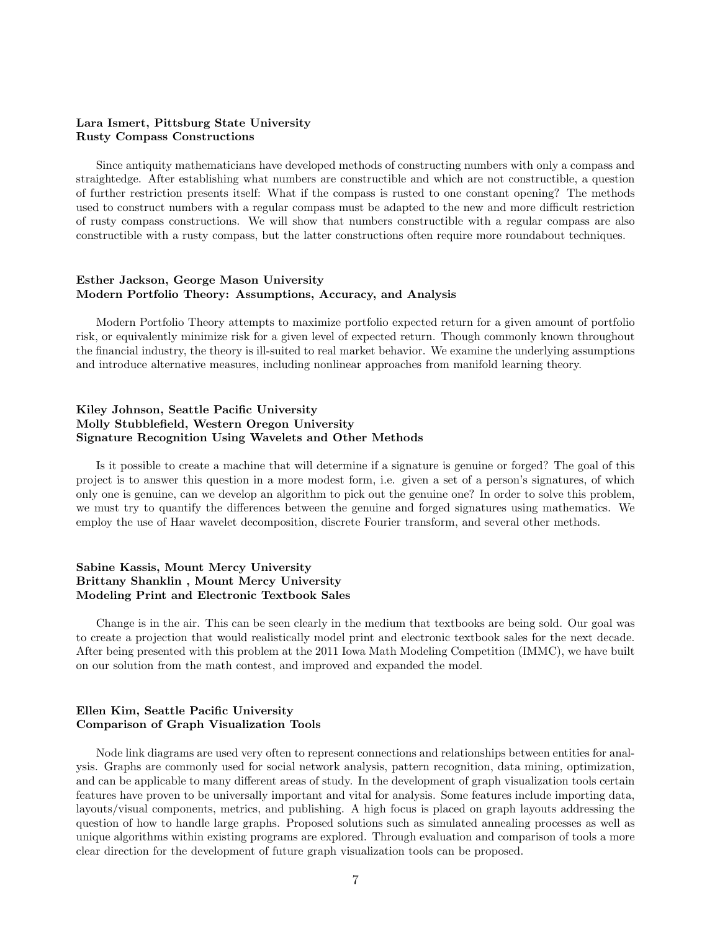#### Lara Ismert, Pittsburg State University Rusty Compass Constructions

Since antiquity mathematicians have developed methods of constructing numbers with only a compass and straightedge. After establishing what numbers are constructible and which are not constructible, a question of further restriction presents itself: What if the compass is rusted to one constant opening? The methods used to construct numbers with a regular compass must be adapted to the new and more difficult restriction of rusty compass constructions. We will show that numbers constructible with a regular compass are also constructible with a rusty compass, but the latter constructions often require more roundabout techniques.

#### Esther Jackson, George Mason University Modern Portfolio Theory: Assumptions, Accuracy, and Analysis

Modern Portfolio Theory attempts to maximize portfolio expected return for a given amount of portfolio risk, or equivalently minimize risk for a given level of expected return. Though commonly known throughout the financial industry, the theory is ill-suited to real market behavior. We examine the underlying assumptions and introduce alternative measures, including nonlinear approaches from manifold learning theory.

#### Kiley Johnson, Seattle Pacific University Molly Stubblefield, Western Oregon University Signature Recognition Using Wavelets and Other Methods

Is it possible to create a machine that will determine if a signature is genuine or forged? The goal of this project is to answer this question in a more modest form, i.e. given a set of a person's signatures, of which only one is genuine, can we develop an algorithm to pick out the genuine one? In order to solve this problem, we must try to quantify the differences between the genuine and forged signatures using mathematics. We employ the use of Haar wavelet decomposition, discrete Fourier transform, and several other methods.

#### Sabine Kassis, Mount Mercy University Brittany Shanklin , Mount Mercy University Modeling Print and Electronic Textbook Sales

Change is in the air. This can be seen clearly in the medium that textbooks are being sold. Our goal was to create a projection that would realistically model print and electronic textbook sales for the next decade. After being presented with this problem at the 2011 Iowa Math Modeling Competition (IMMC), we have built on our solution from the math contest, and improved and expanded the model.

#### Ellen Kim, Seattle Pacific University Comparison of Graph Visualization Tools

Node link diagrams are used very often to represent connections and relationships between entities for analysis. Graphs are commonly used for social network analysis, pattern recognition, data mining, optimization, and can be applicable to many different areas of study. In the development of graph visualization tools certain features have proven to be universally important and vital for analysis. Some features include importing data, layouts/visual components, metrics, and publishing. A high focus is placed on graph layouts addressing the question of how to handle large graphs. Proposed solutions such as simulated annealing processes as well as unique algorithms within existing programs are explored. Through evaluation and comparison of tools a more clear direction for the development of future graph visualization tools can be proposed.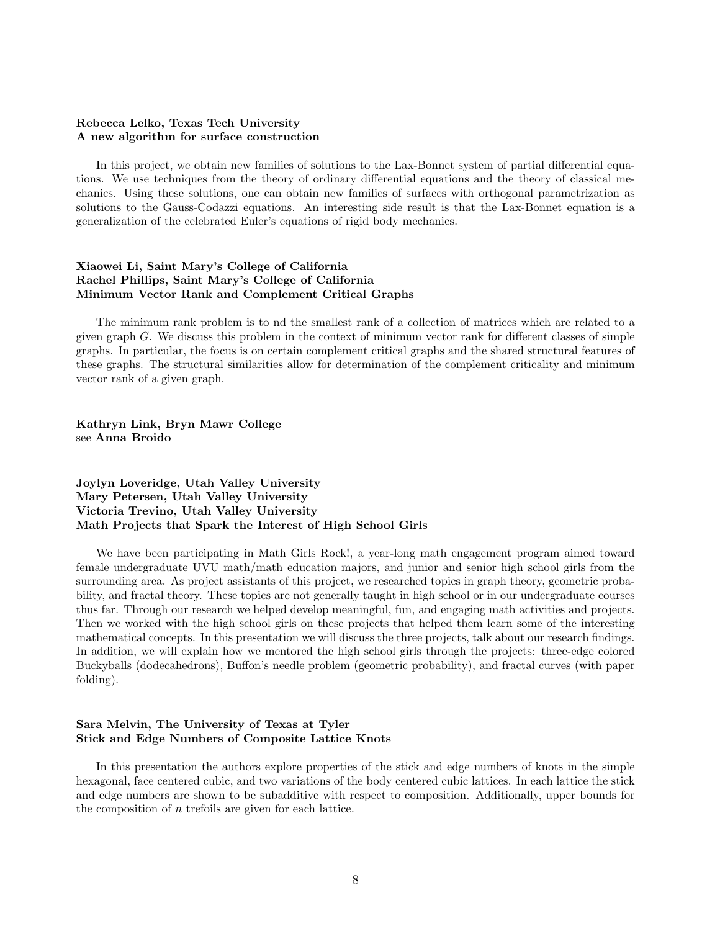#### Rebecca Lelko, Texas Tech University A new algorithm for surface construction

In this project, we obtain new families of solutions to the Lax-Bonnet system of partial differential equations. We use techniques from the theory of ordinary differential equations and the theory of classical mechanics. Using these solutions, one can obtain new families of surfaces with orthogonal parametrization as solutions to the Gauss-Codazzi equations. An interesting side result is that the Lax-Bonnet equation is a generalization of the celebrated Euler's equations of rigid body mechanics.

#### Xiaowei Li, Saint Mary's College of California Rachel Phillips, Saint Mary's College of California Minimum Vector Rank and Complement Critical Graphs

The minimum rank problem is to nd the smallest rank of a collection of matrices which are related to a given graph  $G$ . We discuss this problem in the context of minimum vector rank for different classes of simple graphs. In particular, the focus is on certain complement critical graphs and the shared structural features of these graphs. The structural similarities allow for determination of the complement criticality and minimum vector rank of a given graph.

Kathryn Link, Bryn Mawr College see Anna Broido

#### Joylyn Loveridge, Utah Valley University Mary Petersen, Utah Valley University Victoria Trevino, Utah Valley University Math Projects that Spark the Interest of High School Girls

We have been participating in Math Girls Rock!, a year-long math engagement program aimed toward female undergraduate UVU math/math education majors, and junior and senior high school girls from the surrounding area. As project assistants of this project, we researched topics in graph theory, geometric probability, and fractal theory. These topics are not generally taught in high school or in our undergraduate courses thus far. Through our research we helped develop meaningful, fun, and engaging math activities and projects. Then we worked with the high school girls on these projects that helped them learn some of the interesting mathematical concepts. In this presentation we will discuss the three projects, talk about our research findings. In addition, we will explain how we mentored the high school girls through the projects: three-edge colored Buckyballs (dodecahedrons), Buffon's needle problem (geometric probability), and fractal curves (with paper folding).

#### Sara Melvin, The University of Texas at Tyler Stick and Edge Numbers of Composite Lattice Knots

In this presentation the authors explore properties of the stick and edge numbers of knots in the simple hexagonal, face centered cubic, and two variations of the body centered cubic lattices. In each lattice the stick and edge numbers are shown to be subadditive with respect to composition. Additionally, upper bounds for the composition of  $n$  trefoils are given for each lattice.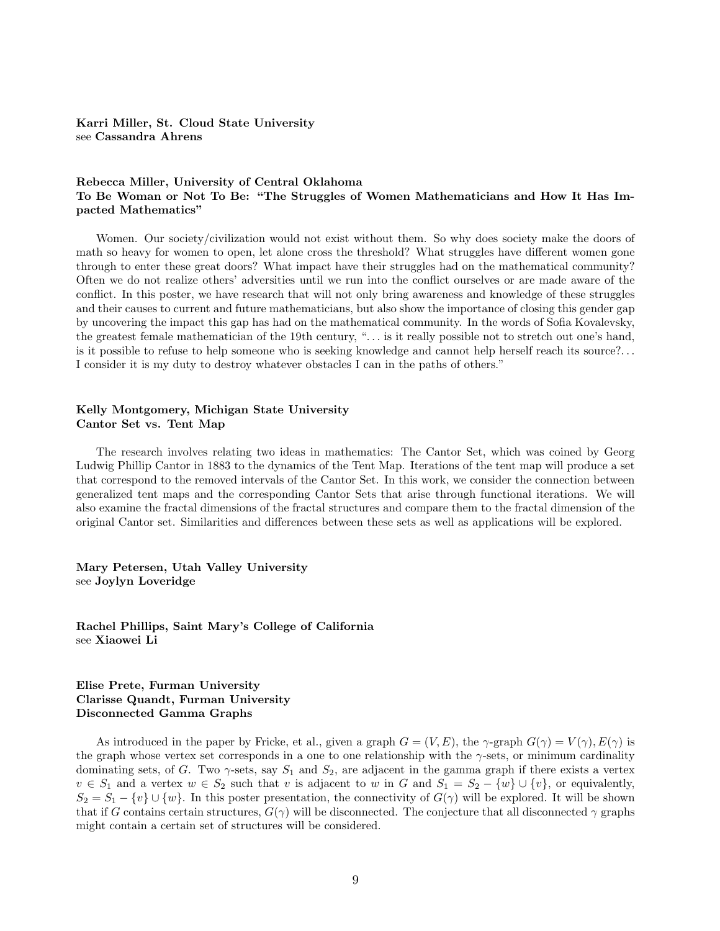Karri Miller, St. Cloud State University see Cassandra Ahrens

#### Rebecca Miller, University of Central Oklahoma To Be Woman or Not To Be: "The Struggles of Women Mathematicians and How It Has Impacted Mathematics"

Women. Our society/civilization would not exist without them. So why does society make the doors of math so heavy for women to open, let alone cross the threshold? What struggles have different women gone through to enter these great doors? What impact have their struggles had on the mathematical community? Often we do not realize others' adversities until we run into the conflict ourselves or are made aware of the conflict. In this poster, we have research that will not only bring awareness and knowledge of these struggles and their causes to current and future mathematicians, but also show the importance of closing this gender gap by uncovering the impact this gap has had on the mathematical community. In the words of Sofia Kovalevsky, the greatest female mathematician of the 19th century, ". . . is it really possible not to stretch out one's hand, is it possible to refuse to help someone who is seeking knowledge and cannot help herself reach its source?. . . I consider it is my duty to destroy whatever obstacles I can in the paths of others."

#### Kelly Montgomery, Michigan State University Cantor Set vs. Tent Map

The research involves relating two ideas in mathematics: The Cantor Set, which was coined by Georg Ludwig Phillip Cantor in 1883 to the dynamics of the Tent Map. Iterations of the tent map will produce a set that correspond to the removed intervals of the Cantor Set. In this work, we consider the connection between generalized tent maps and the corresponding Cantor Sets that arise through functional iterations. We will also examine the fractal dimensions of the fractal structures and compare them to the fractal dimension of the original Cantor set. Similarities and differences between these sets as well as applications will be explored.

Mary Petersen, Utah Valley University see Joylyn Loveridge

Rachel Phillips, Saint Mary's College of California see Xiaowei Li

#### Elise Prete, Furman University Clarisse Quandt, Furman University Disconnected Gamma Graphs

As introduced in the paper by Fricke, et al., given a graph  $G = (V, E)$ , the  $\gamma$ -graph  $G(\gamma) = V(\gamma)$ ,  $E(\gamma)$  is the graph whose vertex set corresponds in a one to one relationship with the  $\gamma$ -sets, or minimum cardinality dominating sets, of G. Two  $\gamma$ -sets, say  $S_1$  and  $S_2$ , are adjacent in the gamma graph if there exists a vertex  $v \in S_1$  and a vertex  $w \in S_2$  such that v is adjacent to w in G and  $S_1 = S_2 - \{w\} \cup \{v\}$ , or equivalently,  $S_2 = S_1 - \{v\} \cup \{w\}$ . In this poster presentation, the connectivity of  $G(\gamma)$  will be explored. It will be shown that if G contains certain structures,  $G(\gamma)$  will be disconnected. The conjecture that all disconnected  $\gamma$  graphs might contain a certain set of structures will be considered.